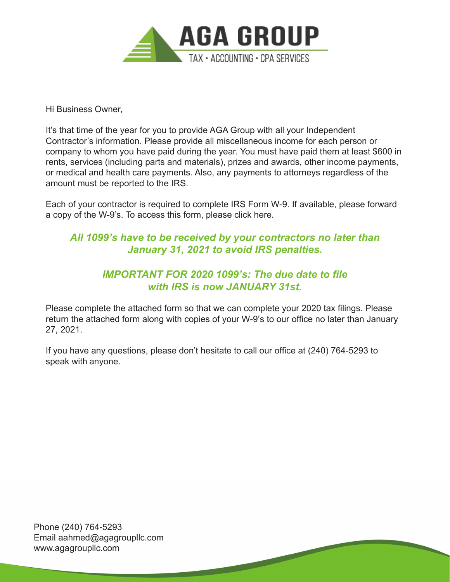

Hi Business Owner,

It's that time of the year for you to provide AGA Group with all your Independent Contractor's information. Please provide all miscellaneous income for each person or company to whom you have paid during the year. You must have paid them at least \$600 in rents, services (including parts and materials), prizes and awards, other income payments, or medical and health care payments. Also, any payments to attorneys regardless of the amount must be reported to the IRS.

Each of your contractor is required to complete IRS Form W-9. If available, please forward a copy of the W-9's. To access this form, please click here.

## *All 1099's have to be received by your contractors no later than January 31, 2021 to avoid IRS penalties.*

## *IMPORTANT FOR 2020 1099's: The due date to file with IRS is now JANUARY 31st.*

Please complete the attached form so that we can complete your 2020 tax filings. Please return the attached form along with copies of your W-9's to our office no later than January 27, 2021.

If you have any questions, please don't hesitate to call our office at (240) 764-5293 to speak with anyone.

Phone (240) 764-5293 Email aahmed@agagroupllc.com www.agagroupllc.com